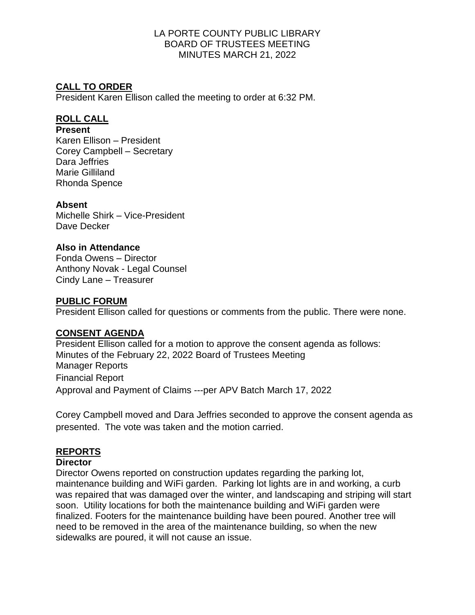#### LA PORTE COUNTY PUBLIC LIBRARY BOARD OF TRUSTEES MEETING MINUTES MARCH 21, 2022

# **CALL TO ORDER**

President Karen Ellison called the meeting to order at 6:32 PM.

### **ROLL CALL**

#### **Present**

Karen Ellison – President Corey Campbell – Secretary Dara Jeffries Marie Gilliland Rhonda Spence

### **Absent**

Michelle Shirk – Vice-President Dave Decker

#### **Also in Attendance**

Fonda Owens – Director Anthony Novak - Legal Counsel Cindy Lane – Treasurer

#### **PUBLIC FORUM**

President Ellison called for questions or comments from the public. There were none.

#### **CONSENT AGENDA**

President Ellison called for a motion to approve the consent agenda as follows: Minutes of the February 22, 2022 Board of Trustees Meeting Manager Reports Financial Report Approval and Payment of Claims ---per APV Batch March 17, 2022

Corey Campbell moved and Dara Jeffries seconded to approve the consent agenda as presented. The vote was taken and the motion carried.

# **REPORTS**

#### **Director**

Director Owens reported on construction updates regarding the parking lot, maintenance building and WiFi garden. Parking lot lights are in and working, a curb was repaired that was damaged over the winter, and landscaping and striping will start soon. Utility locations for both the maintenance building and WiFi garden were finalized. Footers for the maintenance building have been poured. Another tree will need to be removed in the area of the maintenance building, so when the new sidewalks are poured, it will not cause an issue.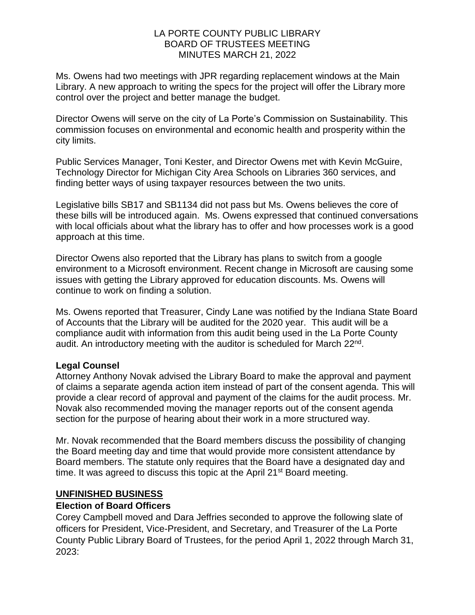#### LA PORTE COUNTY PUBLIC LIBRARY BOARD OF TRUSTEES MEETING MINUTES MARCH 21, 2022

Ms. Owens had two meetings with JPR regarding replacement windows at the Main Library. A new approach to writing the specs for the project will offer the Library more control over the project and better manage the budget.

Director Owens will serve on the city of La Porte's Commission on Sustainability. This commission focuses on environmental and economic health and prosperity within the city limits.

Public Services Manager, Toni Kester, and Director Owens met with Kevin McGuire, Technology Director for Michigan City Area Schools on Libraries 360 services, and finding better ways of using taxpayer resources between the two units.

Legislative bills SB17 and SB1134 did not pass but Ms. Owens believes the core of these bills will be introduced again. Ms. Owens expressed that continued conversations with local officials about what the library has to offer and how processes work is a good approach at this time.

Director Owens also reported that the Library has plans to switch from a google environment to a Microsoft environment. Recent change in Microsoft are causing some issues with getting the Library approved for education discounts. Ms. Owens will continue to work on finding a solution.

Ms. Owens reported that Treasurer, Cindy Lane was notified by the Indiana State Board of Accounts that the Library will be audited for the 2020 year. This audit will be a compliance audit with information from this audit being used in the La Porte County audit. An introductory meeting with the auditor is scheduled for March 22<sup>nd</sup>.

#### **Legal Counsel**

Attorney Anthony Novak advised the Library Board to make the approval and payment of claims a separate agenda action item instead of part of the consent agenda. This will provide a clear record of approval and payment of the claims for the audit process. Mr. Novak also recommended moving the manager reports out of the consent agenda section for the purpose of hearing about their work in a more structured way.

Mr. Novak recommended that the Board members discuss the possibility of changing the Board meeting day and time that would provide more consistent attendance by Board members. The statute only requires that the Board have a designated day and time. It was agreed to discuss this topic at the April 21<sup>st</sup> Board meeting.

#### **UNFINISHED BUSINESS**

#### **Election of Board Officers**

Corey Campbell moved and Dara Jeffries seconded to approve the following slate of officers for President, Vice-President, and Secretary, and Treasurer of the La Porte County Public Library Board of Trustees, for the period April 1, 2022 through March 31, 2023: